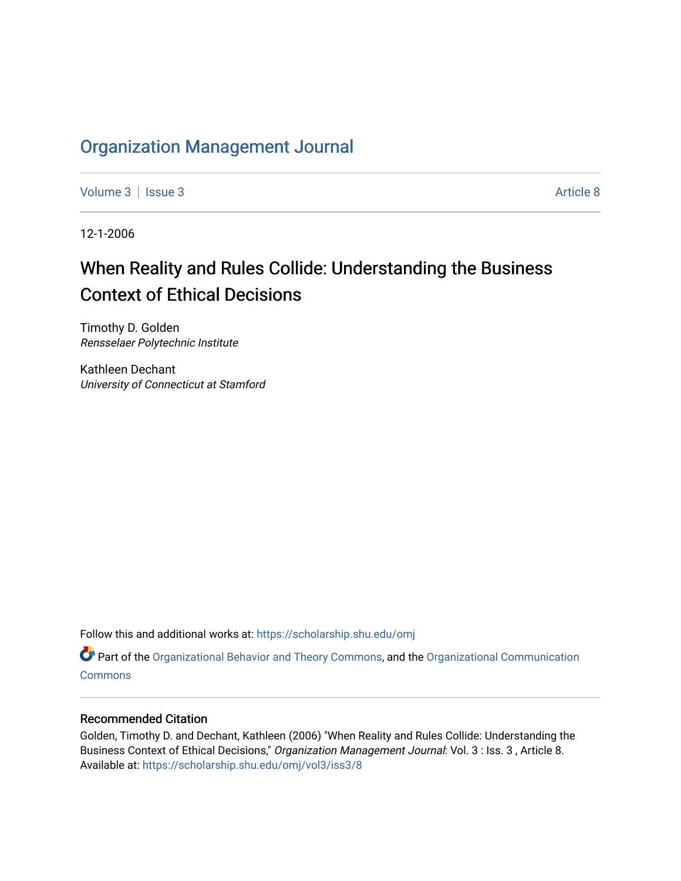## [Organization Management Journal](https://scholarship.shu.edu/omj)

[Volume 3](https://scholarship.shu.edu/omj/vol3) | [Issue 3](https://scholarship.shu.edu/omj/vol3/iss3) Article 8

12-1-2006

# When Reality and Rules Collide: Understanding the Business Context of Ethical Decisions

Timothy D. Golden Rensselaer Polytechnic Institute

Kathleen Dechant University of Connecticut at Stamford

Follow this and additional works at: [https://scholarship.shu.edu/omj](https://scholarship.shu.edu/omj?utm_source=scholarship.shu.edu%2Fomj%2Fvol3%2Fiss3%2F8&utm_medium=PDF&utm_campaign=PDFCoverPages) 

Part of the [Organizational Behavior and Theory Commons,](http://network.bepress.com/hgg/discipline/639?utm_source=scholarship.shu.edu%2Fomj%2Fvol3%2Fiss3%2F8&utm_medium=PDF&utm_campaign=PDFCoverPages) and the [Organizational Communication](http://network.bepress.com/hgg/discipline/335?utm_source=scholarship.shu.edu%2Fomj%2Fvol3%2Fiss3%2F8&utm_medium=PDF&utm_campaign=PDFCoverPages) **[Commons](http://network.bepress.com/hgg/discipline/335?utm_source=scholarship.shu.edu%2Fomj%2Fvol3%2Fiss3%2F8&utm_medium=PDF&utm_campaign=PDFCoverPages)** 

### Recommended Citation

Golden, Timothy D. and Dechant, Kathleen (2006) "When Reality and Rules Collide: Understanding the Business Context of Ethical Decisions," Organization Management Journal: Vol. 3 : Iss. 3, Article 8. Available at: [https://scholarship.shu.edu/omj/vol3/iss3/8](https://scholarship.shu.edu/omj/vol3/iss3/8?utm_source=scholarship.shu.edu%2Fomj%2Fvol3%2Fiss3%2F8&utm_medium=PDF&utm_campaign=PDFCoverPages)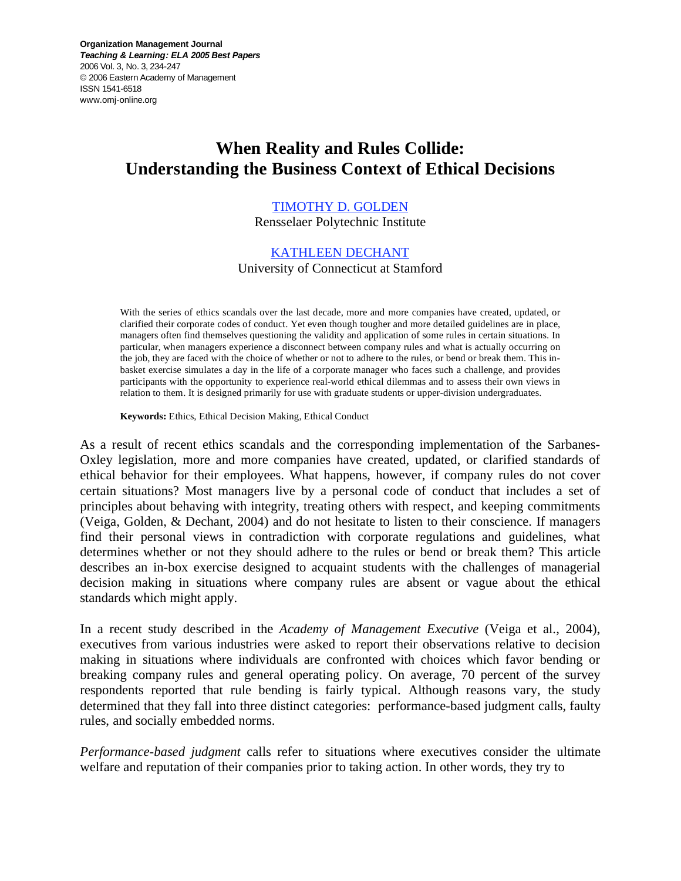**Organization Management Journal**  *Teaching & Learning: ELA 2005 Best Papers*  2006 Vol. 3, No. 3, 234-247 © 2006 Eastern Academy of Management ISSN 1541-6518 www.omj-online.org

## **When Reality and Rules Collide: Understanding the Business Context of Ethical Decisions**

#### [TIMOTHY D. GOLDEN](mailto:GoldenT@rpi.edu)

Rensselaer Polytechnic Institute

#### [KATHLEEN DECHANT](mailto:Kathleen.Dechant@business.uconn.edu)

University of Connecticut at Stamford

With the series of ethics scandals over the last decade, more and more companies have created, updated, or clarified their corporate codes of conduct. Yet even though tougher and more detailed guidelines are in place, managers often find themselves questioning the validity and application of some rules in certain situations. In particular, when managers experience a disconnect between company rules and what is actually occurring on the job, they are faced with the choice of whether or not to adhere to the rules, or bend or break them. This inbasket exercise simulates a day in the life of a corporate manager who faces such a challenge, and provides participants with the opportunity to experience real-world ethical dilemmas and to assess their own views in relation to them. It is designed primarily for use with graduate students or upper-division undergraduates.

**Keywords:** Ethics, Ethical Decision Making, Ethical Conduct

As a result of recent ethics scandals and the corresponding implementation of the Sarbanes-Oxley legislation, more and more companies have created, updated, or clarified standards of ethical behavior for their employees. What happens, however, if company rules do not cover certain situations? Most managers live by a personal code of conduct that includes a set of principles about behaving with integrity, treating others with respect, and keeping commitments (Veiga, Golden, & Dechant, 2004) and do not hesitate to listen to their conscience. If managers find their personal views in contradiction with corporate regulations and guidelines, what determines whether or not they should adhere to the rules or bend or break them? This article describes an in-box exercise designed to acquaint students with the challenges of managerial decision making in situations where company rules are absent or vague about the ethical standards which might apply.

In a recent study described in the *Academy of Management Executive* (Veiga et al., 2004), executives from various industries were asked to report their observations relative to decision making in situations where individuals are confronted with choices which favor bending or breaking company rules and general operating policy. On average, 70 percent of the survey respondents reported that rule bending is fairly typical. Although reasons vary, the study determined that they fall into three distinct categories: performance-based judgment calls, faulty rules, and socially embedded norms.

*Performance-based judgment* calls refer to situations where executives consider the ultimate welfare and reputation of their companies prior to taking action. In other words, they try to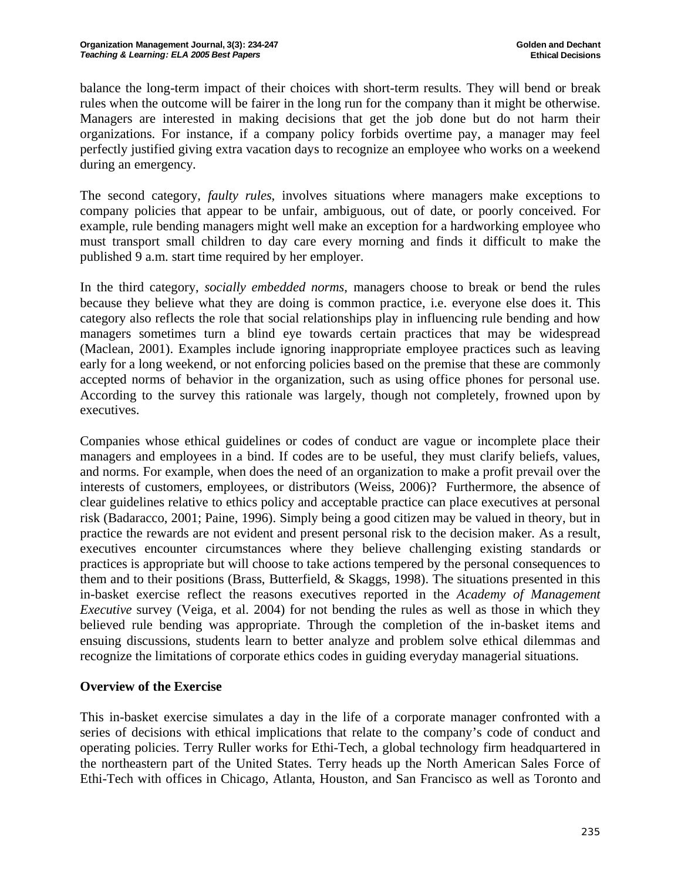balance the long-term impact of their choices with short-term results. They will bend or break rules when the outcome will be fairer in the long run for the company than it might be otherwise. Managers are interested in making decisions that get the job done but do not harm their organizations. For instance, if a company policy forbids overtime pay, a manager may feel perfectly justified giving extra vacation days to recognize an employee who works on a weekend during an emergency.

The second category, *faulty rules*, involves situations where managers make exceptions to company policies that appear to be unfair, ambiguous, out of date, or poorly conceived. For example, rule bending managers might well make an exception for a hardworking employee who must transport small children to day care every morning and finds it difficult to make the published 9 a.m. start time required by her employer.

In the third category, *socially embedded norms*, managers choose to break or bend the rules because they believe what they are doing is common practice, i.e. everyone else does it. This category also reflects the role that social relationships play in influencing rule bending and how managers sometimes turn a blind eye towards certain practices that may be widespread (Maclean, 2001). Examples include ignoring inappropriate employee practices such as leaving early for a long weekend, or not enforcing policies based on the premise that these are commonly accepted norms of behavior in the organization, such as using office phones for personal use. According to the survey this rationale was largely, though not completely, frowned upon by executives.

Companies whose ethical guidelines or codes of conduct are vague or incomplete place their managers and employees in a bind. If codes are to be useful, they must clarify beliefs, values, and norms. For example, when does the need of an organization to make a profit prevail over the interests of customers, employees, or distributors (Weiss, 2006)? Furthermore, the absence of clear guidelines relative to ethics policy and acceptable practice can place executives at personal risk (Badaracco, 2001; Paine, 1996). Simply being a good citizen may be valued in theory, but in practice the rewards are not evident and present personal risk to the decision maker. As a result, executives encounter circumstances where they believe challenging existing standards or practices is appropriate but will choose to take actions tempered by the personal consequences to them and to their positions (Brass, Butterfield, & Skaggs, 1998). The situations presented in this in-basket exercise reflect the reasons executives reported in the *Academy of Management Executive* survey (Veiga, et al. 2004) for not bending the rules as well as those in which they believed rule bending was appropriate. Through the completion of the in-basket items and ensuing discussions, students learn to better analyze and problem solve ethical dilemmas and recognize the limitations of corporate ethics codes in guiding everyday managerial situations.

## **Overview of the Exercise**

This in-basket exercise simulates a day in the life of a corporate manager confronted with a series of decisions with ethical implications that relate to the company's code of conduct and operating policies. Terry Ruller works for Ethi-Tech, a global technology firm headquartered in the northeastern part of the United States. Terry heads up the North American Sales Force of Ethi-Tech with offices in Chicago, Atlanta, Houston, and San Francisco as well as Toronto and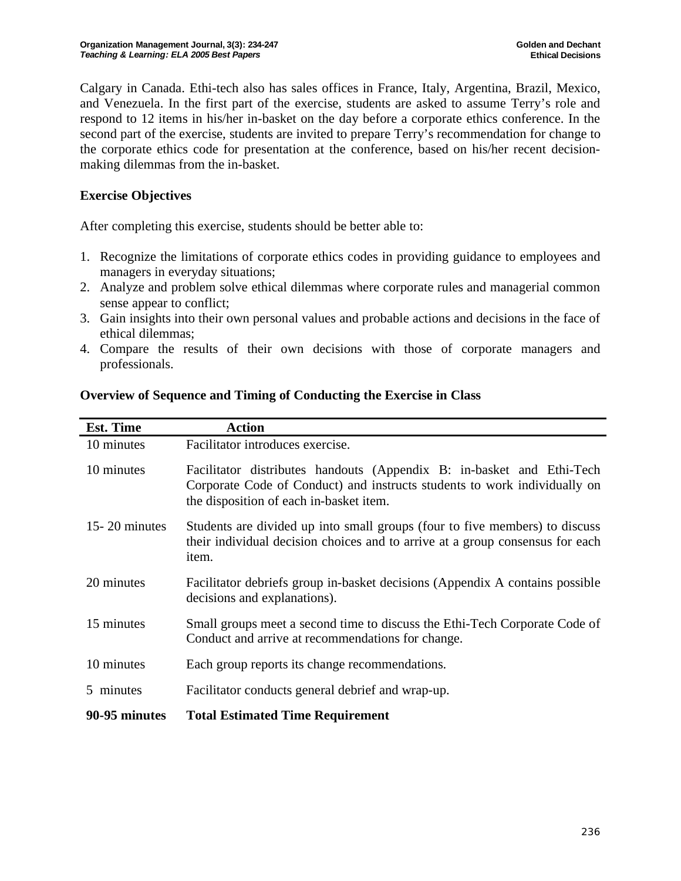Calgary in Canada. Ethi-tech also has sales offices in France, Italy, Argentina, Brazil, Mexico, and Venezuela. In the first part of the exercise, students are asked to assume Terry's role and respond to 12 items in his/her in-basket on the day before a corporate ethics conference. In the second part of the exercise, students are invited to prepare Terry's recommendation for change to the corporate ethics code for presentation at the conference, based on his/her recent decisionmaking dilemmas from the in-basket.

## **Exercise Objectives**

After completing this exercise, students should be better able to:

- 1. Recognize the limitations of corporate ethics codes in providing guidance to employees and managers in everyday situations;
- 2. Analyze and problem solve ethical dilemmas where corporate rules and managerial common sense appear to conflict;
- 3. Gain insights into their own personal values and probable actions and decisions in the face of ethical dilemmas;
- 4. Compare the results of their own decisions with those of corporate managers and professionals.

| <b>Est. Time</b> | <b>Action</b>                                                                                                                                                                                 |
|------------------|-----------------------------------------------------------------------------------------------------------------------------------------------------------------------------------------------|
| 10 minutes       | Facilitator introduces exercise.                                                                                                                                                              |
| 10 minutes       | Facilitator distributes handouts (Appendix B: in-basket and Ethi-Tech<br>Corporate Code of Conduct) and instructs students to work individually on<br>the disposition of each in-basket item. |
| 15-20 minutes    | Students are divided up into small groups (four to five members) to discuss<br>their individual decision choices and to arrive at a group consensus for each<br>item.                         |
| 20 minutes       | Facilitator debriefs group in-basket decisions (Appendix A contains possible<br>decisions and explanations).                                                                                  |
| 15 minutes       | Small groups meet a second time to discuss the Ethi-Tech Corporate Code of<br>Conduct and arrive at recommendations for change.                                                               |
| 10 minutes       | Each group reports its change recommendations.                                                                                                                                                |
| 5 minutes        | Facilitator conducts general debrief and wrap-up.                                                                                                                                             |
| 90-95 minutes    | <b>Total Estimated Time Requirement</b>                                                                                                                                                       |

## **Overview of Sequence and Timing of Conducting the Exercise in Class**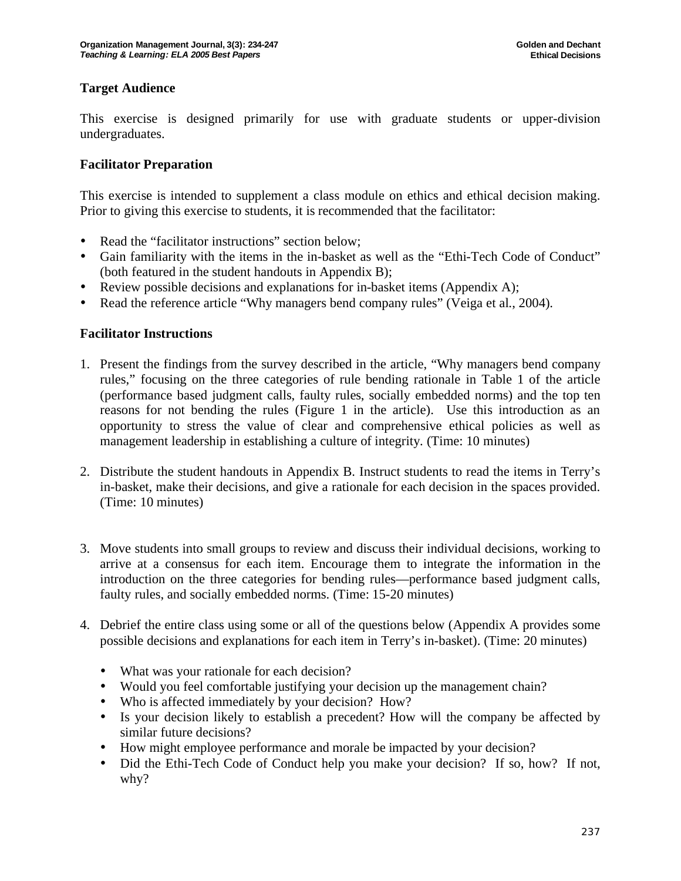## **Target Audience**

This exercise is designed primarily for use with graduate students or upper-division undergraduates.

## **Facilitator Preparation**

This exercise is intended to supplement a class module on ethics and ethical decision making. Prior to giving this exercise to students, it is recommended that the facilitator:

- Read the "facilitator instructions" section below;
- Gain familiarity with the items in the in-basket as well as the "Ethi-Tech Code of Conduct" (both featured in the student handouts in Appendix B);
- Review possible decisions and explanations for in-basket items (Appendix A);
- Read the reference article "Why managers bend company rules" (Veiga et al., 2004).

## **Facilitator Instructions**

- 1. Present the findings from the survey described in the article, "Why managers bend company rules," focusing on the three categories of rule bending rationale in Table 1 of the article (performance based judgment calls, faulty rules, socially embedded norms) and the top ten reasons for not bending the rules (Figure 1 in the article). Use this introduction as an opportunity to stress the value of clear and comprehensive ethical policies as well as management leadership in establishing a culture of integrity. (Time: 10 minutes)
- 2. Distribute the student handouts in Appendix B. Instruct students to read the items in Terry's in-basket, make their decisions, and give a rationale for each decision in the spaces provided. (Time: 10 minutes)
- 3. Move students into small groups to review and discuss their individual decisions, working to arrive at a consensus for each item. Encourage them to integrate the information in the introduction on the three categories for bending rules—performance based judgment calls, faulty rules, and socially embedded norms. (Time: 15-20 minutes)
- 4. Debrief the entire class using some or all of the questions below (Appendix A provides some possible decisions and explanations for each item in Terry's in-basket). (Time: 20 minutes)
	- What was your rationale for each decision?
	- Would you feel comfortable justifying your decision up the management chain?
	- Who is affected immediately by your decision? How?
	- Is your decision likely to establish a precedent? How will the company be affected by similar future decisions?
	- How might employee performance and morale be impacted by your decision?
	- Did the Ethi-Tech Code of Conduct help you make your decision? If so, how? If not, why?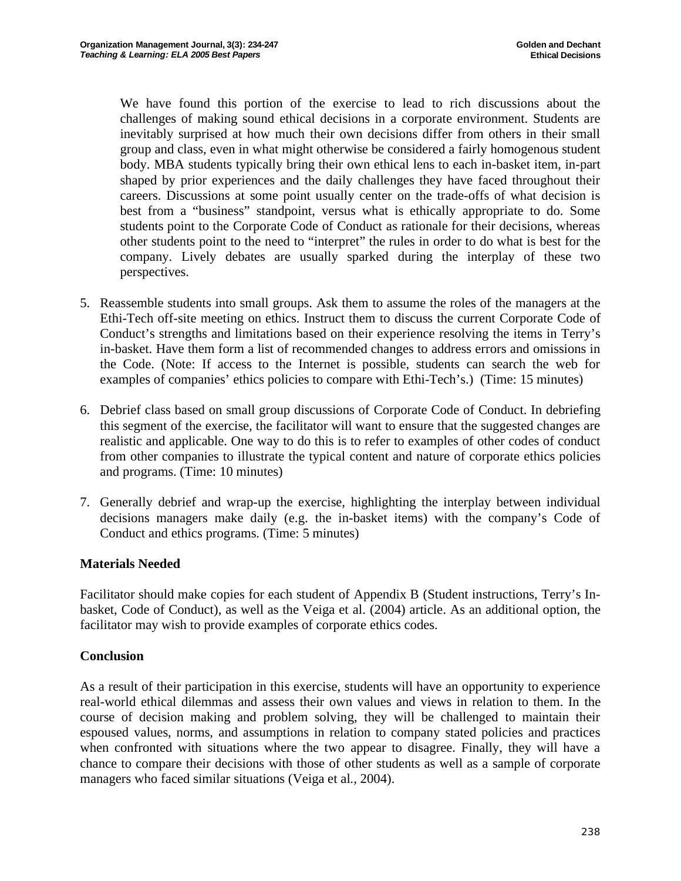We have found this portion of the exercise to lead to rich discussions about the challenges of making sound ethical decisions in a corporate environment. Students are inevitably surprised at how much their own decisions differ from others in their small group and class, even in what might otherwise be considered a fairly homogenous student body. MBA students typically bring their own ethical lens to each in-basket item, in-part shaped by prior experiences and the daily challenges they have faced throughout their careers. Discussions at some point usually center on the trade-offs of what decision is best from a "business" standpoint, versus what is ethically appropriate to do. Some students point to the Corporate Code of Conduct as rationale for their decisions, whereas other students point to the need to "interpret" the rules in order to do what is best for the company. Lively debates are usually sparked during the interplay of these two perspectives.

- 5. Reassemble students into small groups. Ask them to assume the roles of the managers at the Ethi-Tech off-site meeting on ethics. Instruct them to discuss the current Corporate Code of Conduct's strengths and limitations based on their experience resolving the items in Terry's in-basket. Have them form a list of recommended changes to address errors and omissions in the Code. (Note: If access to the Internet is possible, students can search the web for examples of companies' ethics policies to compare with Ethi-Tech's.) (Time: 15 minutes)
- 6. Debrief class based on small group discussions of Corporate Code of Conduct. In debriefing this segment of the exercise, the facilitator will want to ensure that the suggested changes are realistic and applicable. One way to do this is to refer to examples of other codes of conduct from other companies to illustrate the typical content and nature of corporate ethics policies and programs. (Time: 10 minutes)
- 7. Generally debrief and wrap-up the exercise, highlighting the interplay between individual decisions managers make daily (e.g. the in-basket items) with the company's Code of Conduct and ethics programs. (Time: 5 minutes)

## **Materials Needed**

Facilitator should make copies for each student of Appendix B (Student instructions, Terry's Inbasket, Code of Conduct), as well as the Veiga et al. (2004) article. As an additional option, the facilitator may wish to provide examples of corporate ethics codes.

## **Conclusion**

As a result of their participation in this exercise, students will have an opportunity to experience real-world ethical dilemmas and assess their own values and views in relation to them. In the course of decision making and problem solving, they will be challenged to maintain their espoused values, norms, and assumptions in relation to company stated policies and practices when confronted with situations where the two appear to disagree. Finally, they will have a chance to compare their decisions with those of other students as well as a sample of corporate managers who faced similar situations (Veiga et al., 2004).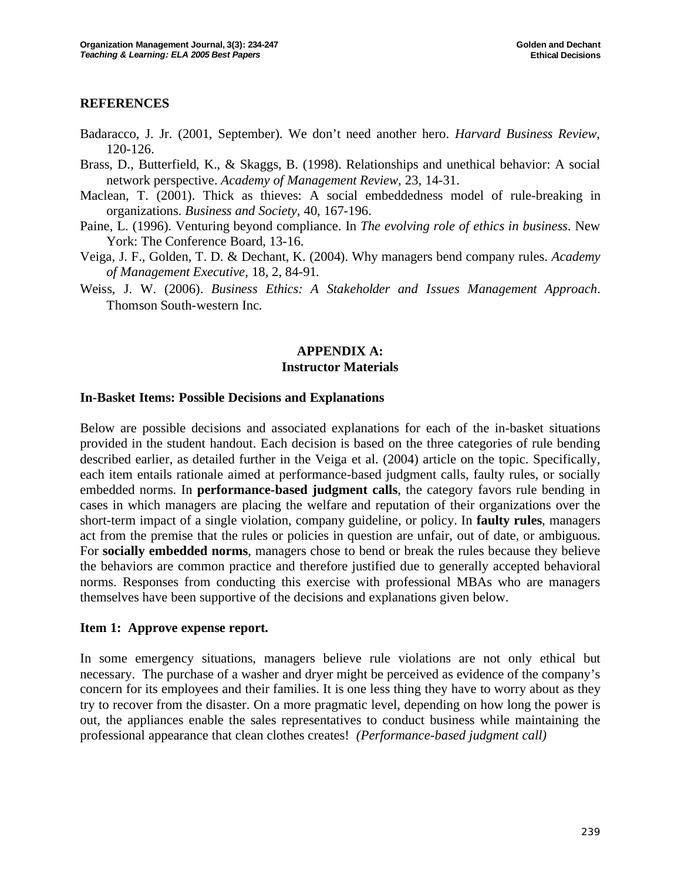### **REFERENCES**

- Badaracco, J. Jr. (2001, September). We don't need another hero. *Harvard Business Review*, 120-126.
- Brass, D., Butterfield, K., & Skaggs, B. (1998). Relationships and unethical behavior: A social network perspective. *Academy of Management Review*, 23, 14-31.
- Maclean, T. (2001). Thick as thieves: A social embeddedness model of rule-breaking in organizations. *Business and Society*, 40, 167-196.
- Paine, L. (1996). Venturing beyond compliance. In *The evolving role of ethics in business*. New York: The Conference Board, 13-16.
- Veiga, J. F., Golden, T. D. & Dechant, K. (2004). Why managers bend company rules. *Academy of Management Executive,* 18, 2, 84-91*.*
- Weiss, J. W. (2006). *Business Ethics: A Stakeholder and Issues Management Approach*. Thomson South-western Inc.

#### **APPENDIX A: Instructor Materials**

#### **In-Basket Items: Possible Decisions and Explanations**

Below are possible decisions and associated explanations for each of the in-basket situations provided in the student handout. Each decision is based on the three categories of rule bending described earlier, as detailed further in the Veiga et al. (2004) article on the topic. Specifically, each item entails rationale aimed at performance-based judgment calls, faulty rules, or socially embedded norms. In **performance-based judgment calls**, the category favors rule bending in cases in which managers are placing the welfare and reputation of their organizations over the short-term impact of a single violation, company guideline, or policy. In **faulty rules**, managers act from the premise that the rules or policies in question are unfair, out of date, or ambiguous. For **socially embedded norms**, managers chose to bend or break the rules because they believe the behaviors are common practice and therefore justified due to generally accepted behavioral norms. Responses from conducting this exercise with professional MBAs who are managers themselves have been supportive of the decisions and explanations given below.

#### **Item 1: Approve expense report.**

In some emergency situations, managers believe rule violations are not only ethical but necessary. The purchase of a washer and dryer might be perceived as evidence of the company's concern for its employees and their families. It is one less thing they have to worry about as they try to recover from the disaster. On a more pragmatic level, depending on how long the power is out, the appliances enable the sales representatives to conduct business while maintaining the professional appearance that clean clothes creates! *(Performance-based judgment call)*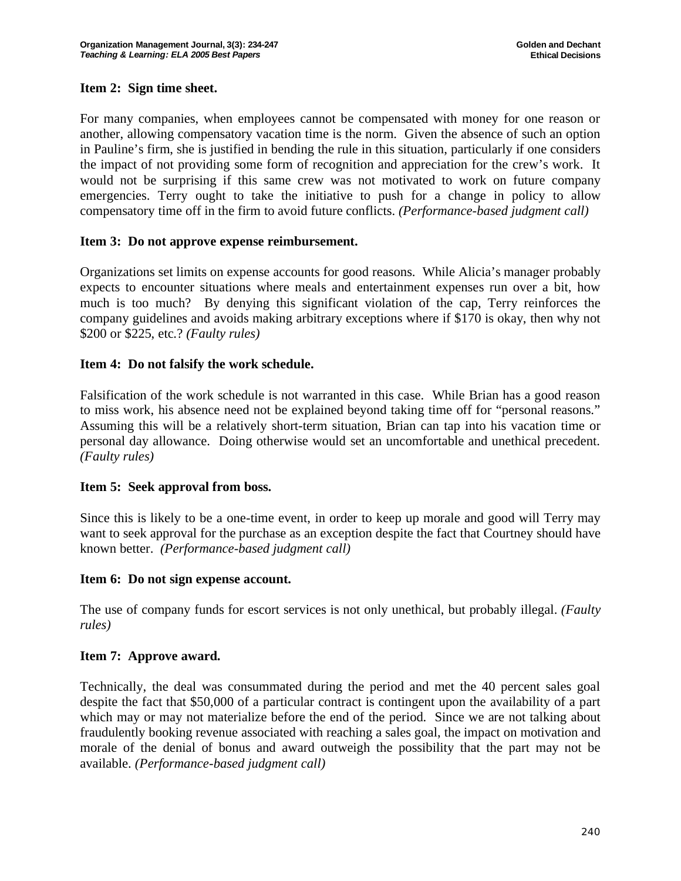## **Item 2: Sign time sheet.**

For many companies, when employees cannot be compensated with money for one reason or another, allowing compensatory vacation time is the norm. Given the absence of such an option in Pauline's firm, she is justified in bending the rule in this situation, particularly if one considers the impact of not providing some form of recognition and appreciation for the crew's work. It would not be surprising if this same crew was not motivated to work on future company emergencies. Terry ought to take the initiative to push for a change in policy to allow compensatory time off in the firm to avoid future conflicts. *(Performance-based judgment call)* 

## **Item 3: Do not approve expense reimbursement.**

Organizations set limits on expense accounts for good reasons. While Alicia's manager probably expects to encounter situations where meals and entertainment expenses run over a bit, how much is too much? By denying this significant violation of the cap, Terry reinforces the company guidelines and avoids making arbitrary exceptions where if \$170 is okay, then why not \$200 or \$225, etc.? *(Faulty rules)*

## **Item 4: Do not falsify the work schedule.**

Falsification of the work schedule is not warranted in this case. While Brian has a good reason to miss work, his absence need not be explained beyond taking time off for "personal reasons." Assuming this will be a relatively short-term situation, Brian can tap into his vacation time or personal day allowance. Doing otherwise would set an uncomfortable and unethical precedent. *(Faulty rules)*

### **Item 5: Seek approval from boss.**

Since this is likely to be a one-time event, in order to keep up morale and good will Terry may want to seek approval for the purchase as an exception despite the fact that Courtney should have known better. *(Performance-based judgment call)*

### **Item 6: Do not sign expense account.**

The use of company funds for escort services is not only unethical, but probably illegal. *(Faulty rules)* 

### **Item 7: Approve award.**

Technically, the deal was consummated during the period and met the 40 percent sales goal despite the fact that \$50,000 of a particular contract is contingent upon the availability of a part which may or may not materialize before the end of the period. Since we are not talking about fraudulently booking revenue associated with reaching a sales goal, the impact on motivation and morale of the denial of bonus and award outweigh the possibility that the part may not be available. *(Performance-based judgment call)*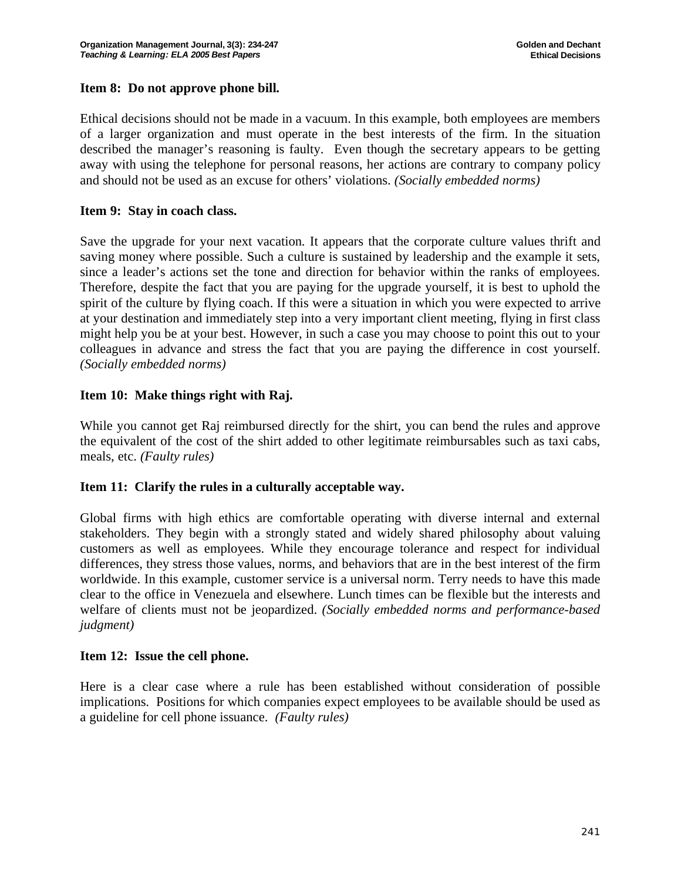## **Item 8: Do not approve phone bill.**

Ethical decisions should not be made in a vacuum. In this example, both employees are members of a larger organization and must operate in the best interests of the firm. In the situation described the manager's reasoning is faulty. Even though the secretary appears to be getting away with using the telephone for personal reasons, her actions are contrary to company policy and should not be used as an excuse for others' violations. *(Socially embedded norms)*

### **Item 9: Stay in coach class.**

Save the upgrade for your next vacation. It appears that the corporate culture values thrift and saving money where possible. Such a culture is sustained by leadership and the example it sets, since a leader's actions set the tone and direction for behavior within the ranks of employees. Therefore, despite the fact that you are paying for the upgrade yourself, it is best to uphold the spirit of the culture by flying coach. If this were a situation in which you were expected to arrive at your destination and immediately step into a very important client meeting, flying in first class might help you be at your best. However, in such a case you may choose to point this out to your colleagues in advance and stress the fact that you are paying the difference in cost yourself. *(Socially embedded norms)*

### **Item 10: Make things right with Raj.**

While you cannot get Raj reimbursed directly for the shirt, you can bend the rules and approve the equivalent of the cost of the shirt added to other legitimate reimbursables such as taxi cabs, meals, etc. *(Faulty rules)* 

### **Item 11: Clarify the rules in a culturally acceptable way.**

Global firms with high ethics are comfortable operating with diverse internal and external stakeholders. They begin with a strongly stated and widely shared philosophy about valuing customers as well as employees. While they encourage tolerance and respect for individual differences, they stress those values, norms, and behaviors that are in the best interest of the firm worldwide. In this example, customer service is a universal norm. Terry needs to have this made clear to the office in Venezuela and elsewhere. Lunch times can be flexible but the interests and welfare of clients must not be jeopardized. *(Socially embedded norms and performance-based judgment)*

### **Item 12: Issue the cell phone.**

Here is a clear case where a rule has been established without consideration of possible implications. Positions for which companies expect employees to be available should be used as a guideline for cell phone issuance. *(Faulty rules)*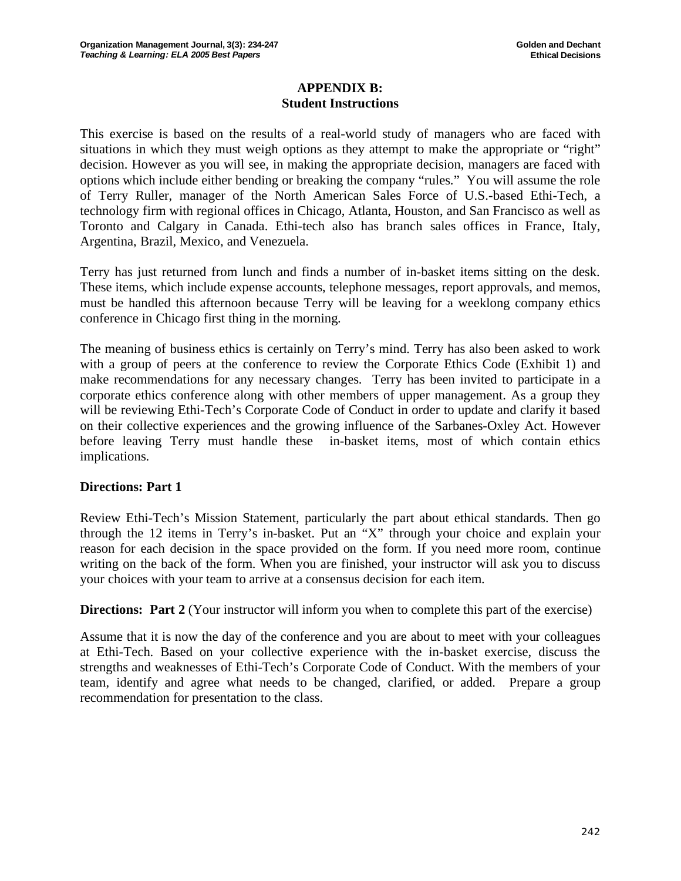### **APPENDIX B: Student Instructions**

This exercise is based on the results of a real-world study of managers who are faced with situations in which they must weigh options as they attempt to make the appropriate or "right" decision. However as you will see, in making the appropriate decision, managers are faced with options which include either bending or breaking the company "rules." You will assume the role of Terry Ruller, manager of the North American Sales Force of U.S.-based Ethi-Tech, a technology firm with regional offices in Chicago, Atlanta, Houston, and San Francisco as well as Toronto and Calgary in Canada. Ethi-tech also has branch sales offices in France, Italy, Argentina, Brazil, Mexico, and Venezuela.

Terry has just returned from lunch and finds a number of in-basket items sitting on the desk. These items, which include expense accounts, telephone messages, report approvals, and memos, must be handled this afternoon because Terry will be leaving for a weeklong company ethics conference in Chicago first thing in the morning.

The meaning of business ethics is certainly on Terry's mind. Terry has also been asked to work with a group of peers at the conference to review the Corporate Ethics Code (Exhibit 1) and make recommendations for any necessary changes. Terry has been invited to participate in a corporate ethics conference along with other members of upper management. As a group they will be reviewing Ethi-Tech's Corporate Code of Conduct in order to update and clarify it based on their collective experiences and the growing influence of the Sarbanes-Oxley Act. However before leaving Terry must handle these in-basket items, most of which contain ethics implications.

### **Directions: Part 1**

Review Ethi-Tech's Mission Statement, particularly the part about ethical standards. Then go through the 12 items in Terry's in-basket. Put an "X" through your choice and explain your reason for each decision in the space provided on the form. If you need more room, continue writing on the back of the form. When you are finished, your instructor will ask you to discuss your choices with your team to arrive at a consensus decision for each item.

**Directions: Part 2** (Your instructor will inform you when to complete this part of the exercise)

Assume that it is now the day of the conference and you are about to meet with your colleagues at Ethi-Tech. Based on your collective experience with the in-basket exercise, discuss the strengths and weaknesses of Ethi-Tech's Corporate Code of Conduct. With the members of your team, identify and agree what needs to be changed, clarified, or added. Prepare a group recommendation for presentation to the class.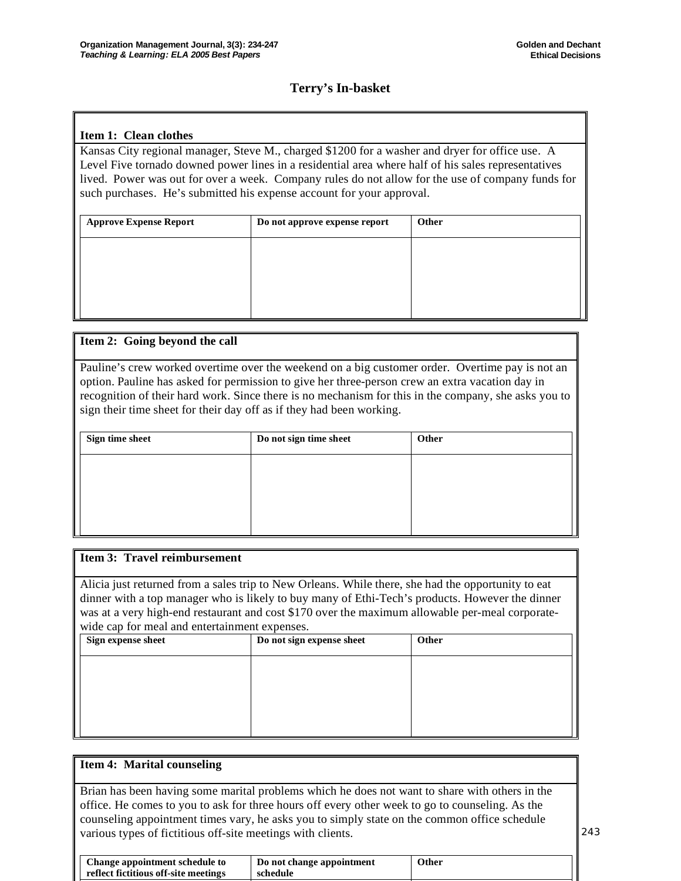## **Terry's In-basket**

#### **Item 1: Clean clothes**

Kansas City regional manager, Steve M., charged \$1200 for a washer and dryer for office use. A Level Five tornado downed power lines in a residential area where half of his sales representatives lived. Power was out for over a week. Company rules do not allow for the use of company funds for such purchases. He's submitted his expense account for your approval.

| <b>Approve Expense Report</b> | Do not approve expense report | Other |
|-------------------------------|-------------------------------|-------|
|                               |                               |       |
|                               |                               |       |
|                               |                               |       |
|                               |                               |       |

#### **Item 2: Going beyond the call**

Pauline's crew worked overtime over the weekend on a big customer order. Overtime pay is not an option. Pauline has asked for permission to give her three-person crew an extra vacation day in recognition of their hard work. Since there is no mechanism for this in the company, she asks you to sign their time sheet for their day off as if they had been working.

| Sign time sheet | Do not sign time sheet | Other |
|-----------------|------------------------|-------|
|                 |                        |       |
|                 |                        |       |
|                 |                        |       |
|                 |                        |       |

#### **Item 3: Travel reimbursement**

Alicia just returned from a sales trip to New Orleans. While there, she had the opportunity to eat dinner with a top manager who is likely to buy many of Ethi-Tech's products. However the dinner was at a very high-end restaurant and cost \$170 over the maximum allowable per-meal corporatewide cap for meal and entertainment expenses.

| Sign expense sheet | Do not sign expense sheet | Other |
|--------------------|---------------------------|-------|
|                    |                           |       |
|                    |                           |       |
|                    |                           |       |
|                    |                           |       |

#### **Item 4: Marital counseling**

Brian has been having some marital problems which he does not want to share with others in the office. He comes to you to ask for three hours off every other week to go to counseling. As the counseling appointment times vary, he asks you to simply state on the common office schedule various types of fictitious off-site meetings with clients.

**Change appointment schedule to reflect fictitious off-site meetings Do not change appointment schedule Other**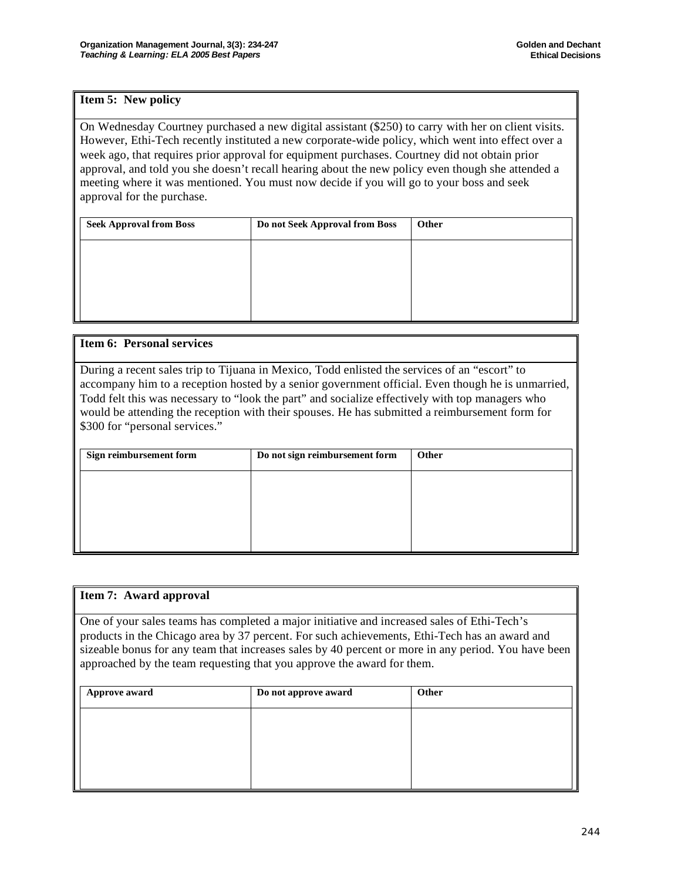#### **Item 5: New policy**

On Wednesday Courtney purchased a new digital assistant (\$250) to carry with her on client visits. However, Ethi-Tech recently instituted a new corporate-wide policy, which went into effect over a week ago, that requires prior approval for equipment purchases. Courtney did not obtain prior approval, and told you she doesn't recall hearing about the new policy even though she attended a meeting where it was mentioned. You must now decide if you will go to your boss and seek approval for the purchase.

| <b>Seek Approval from Boss</b> | Do not Seek Approval from Boss | Other |
|--------------------------------|--------------------------------|-------|
|                                |                                |       |
|                                |                                |       |
|                                |                                |       |
|                                |                                |       |

#### **Item 6: Personal services**

During a recent sales trip to Tijuana in Mexico, Todd enlisted the services of an "escort" to accompany him to a reception hosted by a senior government official. Even though he is unmarried, Todd felt this was necessary to "look the part" and socialize effectively with top managers who would be attending the reception with their spouses. He has submitted a reimbursement form for \$300 for "personal services."

| Sign reimbursement form | Do not sign reimbursement form | Other |
|-------------------------|--------------------------------|-------|
|                         |                                |       |
|                         |                                |       |
|                         |                                |       |
|                         |                                |       |

#### **Item 7: Award approval**

One of your sales teams has completed a major initiative and increased sales of Ethi-Tech's products in the Chicago area by 37 percent. For such achievements, Ethi-Tech has an award and sizeable bonus for any team that increases sales by 40 percent or more in any period. You have been approached by the team requesting that you approve the award for them.

| <b>Approve award</b> | Do not approve award | Other |  |
|----------------------|----------------------|-------|--|
|                      |                      |       |  |
|                      |                      |       |  |
|                      |                      |       |  |
|                      |                      |       |  |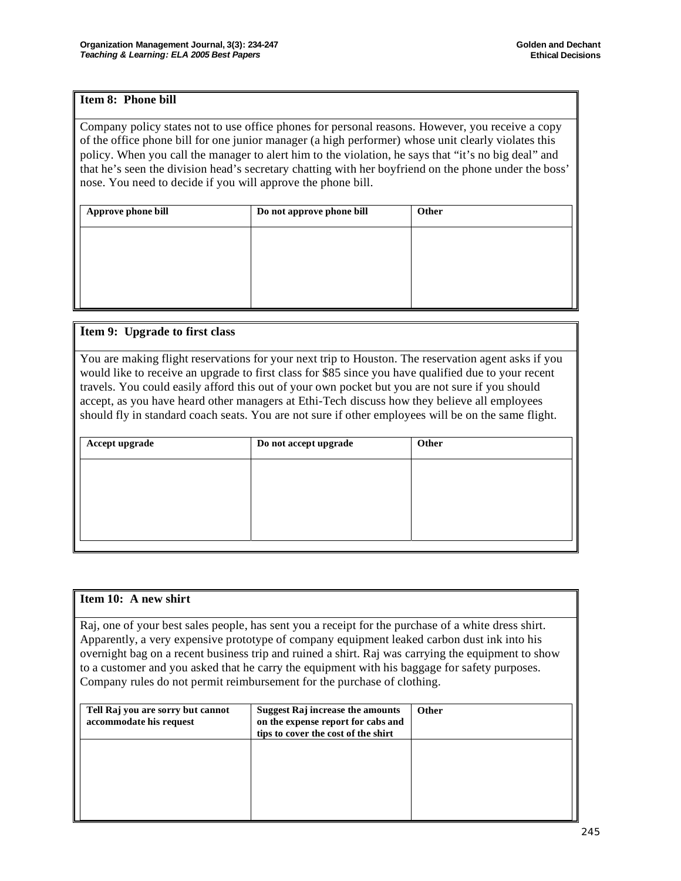#### **Item 8: Phone bill**

Company policy states not to use office phones for personal reasons. However, you receive a copy of the office phone bill for one junior manager (a high performer) whose unit clearly violates this policy. When you call the manager to alert him to the violation, he says that "it's no big deal" and that he's seen the division head's secretary chatting with her boyfriend on the phone under the boss' nose. You need to decide if you will approve the phone bill.

| Approve phone bill | Do not approve phone bill | Other |
|--------------------|---------------------------|-------|
|                    |                           |       |
|                    |                           |       |
|                    |                           |       |
|                    |                           |       |

#### **Item 9: Upgrade to first class**

You are making flight reservations for your next trip to Houston. The reservation agent asks if you would like to receive an upgrade to first class for \$85 since you have qualified due to your recent travels. You could easily afford this out of your own pocket but you are not sure if you should accept, as you have heard other managers at Ethi-Tech discuss how they believe all employees should fly in standard coach seats. You are not sure if other employees will be on the same flight.

| Accept upgrade | Do not accept upgrade | Other |  |
|----------------|-----------------------|-------|--|
|                |                       |       |  |
|                |                       |       |  |
|                |                       |       |  |
|                |                       |       |  |

## **Item 10: A new shirt**  Raj, one of your best sales people, has sent you a receipt for the purchase of a white dress shirt. Apparently, a very expensive prototype of company equipment leaked carbon dust ink into his overnight bag on a recent business trip and ruined a shirt. Raj was carrying the equipment to show

to a customer and you asked that he carry the equipment with his baggage for safety purposes. Company rules do not permit reimbursement for the purchase of clothing.

| Tell Raj you are sorry but cannot<br>accommodate his request | <b>Suggest Raj increase the amounts</b><br>on the expense report for cabs and<br>tips to cover the cost of the shirt | Other |
|--------------------------------------------------------------|----------------------------------------------------------------------------------------------------------------------|-------|
|                                                              |                                                                                                                      |       |
|                                                              |                                                                                                                      |       |
|                                                              |                                                                                                                      |       |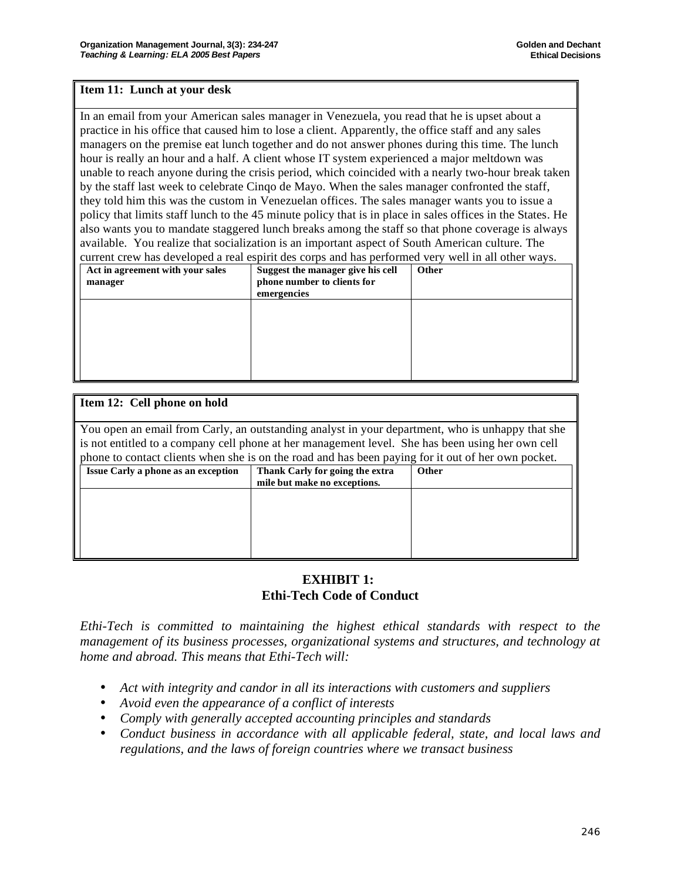#### **Item 11: Lunch at your desk**

In an email from your American sales manager in Venezuela, you read that he is upset about a practice in his office that caused him to lose a client. Apparently, the office staff and any sales managers on the premise eat lunch together and do not answer phones during this time. The lunch hour is really an hour and a half. A client whose IT system experienced a major meltdown was unable to reach anyone during the crisis period, which coincided with a nearly two-hour break taken by the staff last week to celebrate Cinqo de Mayo. When the sales manager confronted the staff, they told him this was the custom in Venezuelan offices. The sales manager wants you to issue a policy that limits staff lunch to the 45 minute policy that is in place in sales offices in the States. He also wants you to mandate staggered lunch breaks among the staff so that phone coverage is always available. You realize that socialization is an important aspect of South American culture. The current crew has developed a real espirit des corps and has performed very well in all other ways.

| Act in agreement with your sales<br>manager | Suggest the manager give his cell<br>phone number to clients for<br>emergencies | Other |
|---------------------------------------------|---------------------------------------------------------------------------------|-------|
|                                             |                                                                                 |       |
|                                             |                                                                                 |       |
|                                             |                                                                                 |       |

| Item 12: Cell phone on hold                                                                        |                                 |              |
|----------------------------------------------------------------------------------------------------|---------------------------------|--------------|
|                                                                                                    |                                 |              |
| You open an email from Carly, an outstanding analyst in your department, who is unhappy that she   |                                 |              |
| is not entitled to a company cell phone at her management level. She has been using her own cell   |                                 |              |
| phone to contact clients when she is on the road and has been paying for it out of her own pocket. |                                 |              |
| <b>Issue Carly a phone as an exception</b>                                                         | Thank Carly for going the extra | <b>Other</b> |
|                                                                                                    | mile but make no exceptions.    |              |
|                                                                                                    |                                 |              |
|                                                                                                    |                                 |              |
|                                                                                                    |                                 |              |
|                                                                                                    |                                 |              |
|                                                                                                    |                                 |              |
|                                                                                                    |                                 |              |

### EXHIBIT 1: **Ethi-Tech Code of Conduct**

*Ethi-Tech is committed to maintaining the highest ethical standards with respect to the management of its business processes, organizational systems and structures, and technology at home and abroad. This means that Ethi-Tech will:* 

- *Act with integrity and candor in all its interactions with customers and suppliers*
- *Avoid even the appearance of a conflict of interests*
- *Comply with generally accepted accounting principles and standards*
- *Conduct business in accordance with all applicable federal, state, and local laws and regulations, and the laws of foreign countries where we transact business*